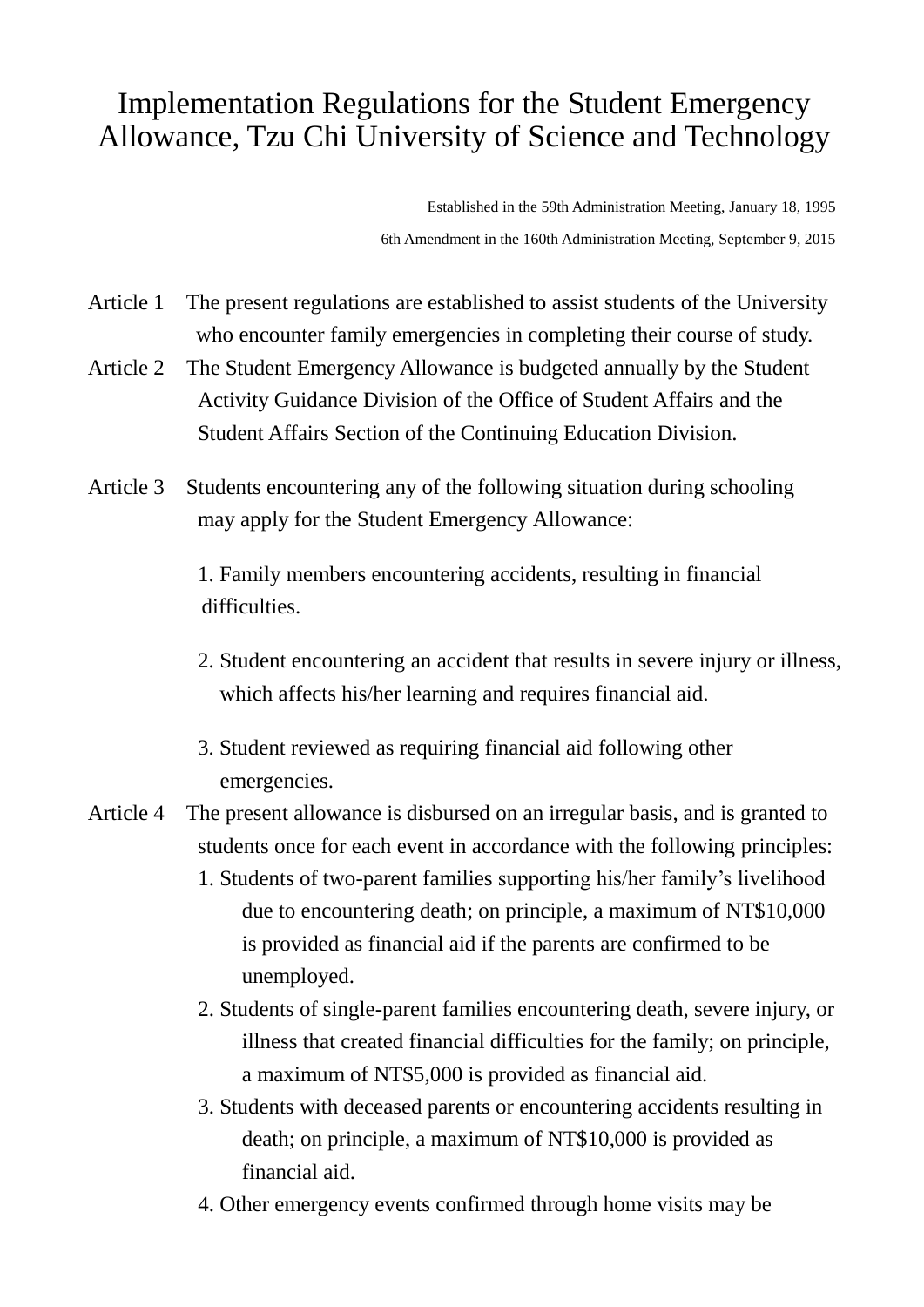## Implementation Regulations for the Student Emergency Allowance, Tzu Chi University of Science and Technology

Established in the 59th Administration Meeting, January 18, 1995 6th Amendment in the 160th Administration Meeting, September 9, 2015

- Article 1 The present regulations are established to assist students of the University who encounter family emergencies in completing their course of study.
- Article 2 The Student Emergency Allowance is budgeted annually by the Student Activity Guidance Division of the Office of Student Affairs and the Student Affairs Section of the Continuing Education Division.
- Article 3 Students encountering any of the following situation during schooling may apply for the Student Emergency Allowance:

1. Family members encountering accidents, resulting in financial difficulties.

- 2. Student encountering an accident that results in severe injury or illness, which affects his/her learning and requires financial aid.
- 3. Student reviewed as requiring financial aid following other emergencies.
- Article 4 The present allowance is disbursed on an irregular basis, and is granted to students once for each event in accordance with the following principles:
	- 1. Students of two-parent families supporting his/her family's livelihood due to encountering death; on principle, a maximum of NT\$10,000 is provided as financial aid if the parents are confirmed to be unemployed.
	- 2. Students of single-parent families encountering death, severe injury, or illness that created financial difficulties for the family; on principle, a maximum of NT\$5,000 is provided as financial aid.
	- 3. Students with deceased parents or encountering accidents resulting in death; on principle, a maximum of NT\$10,000 is provided as financial aid.
	- 4. Other emergency events confirmed through home visits may be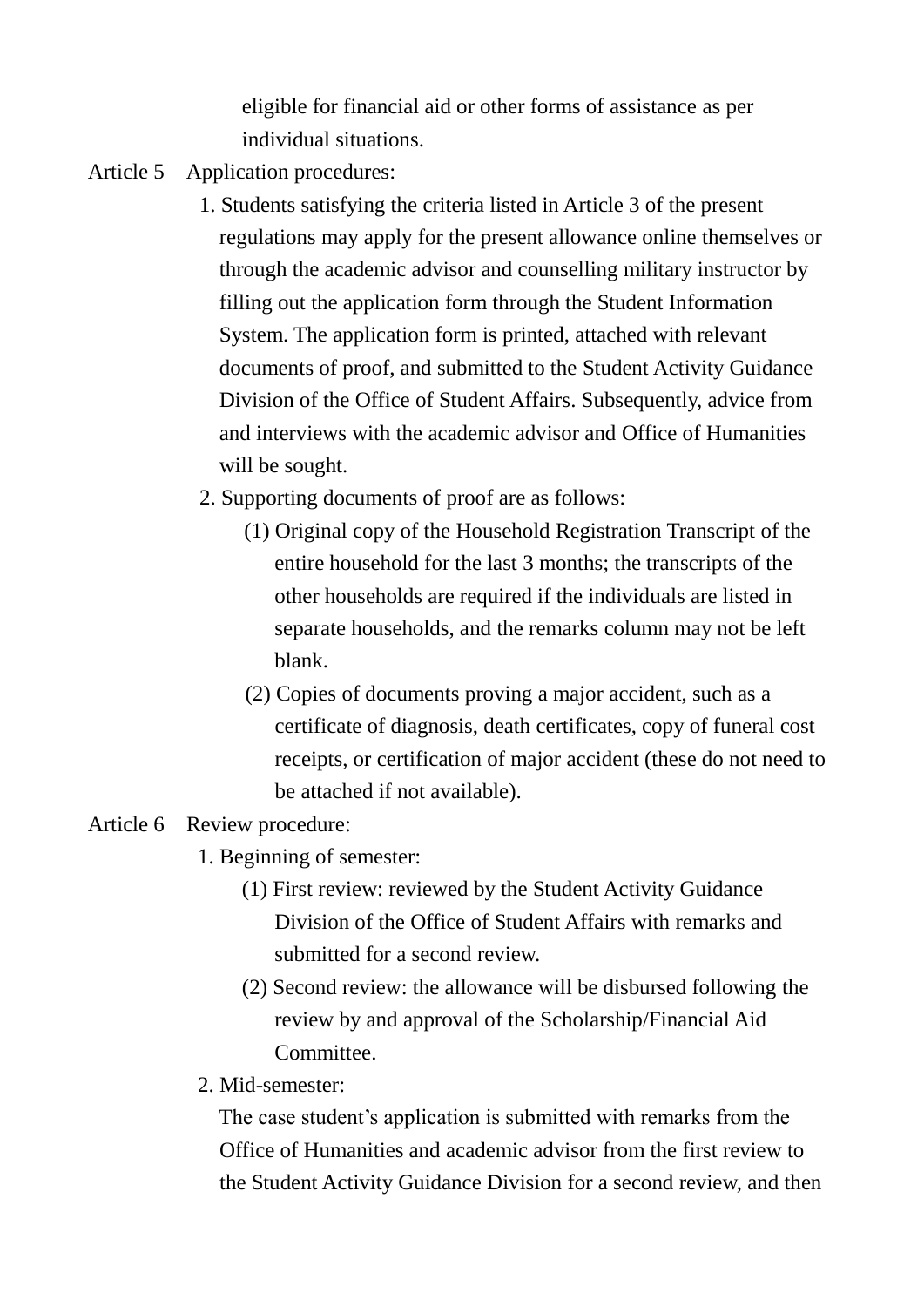eligible for financial aid or other forms of assistance as per individual situations.

- Article 5 Application procedures:
	- 1. Students satisfying the criteria listed in Article 3 of the present regulations may apply for the present allowance online themselves or through the academic advisor and counselling military instructor by filling out the application form through the Student Information System. The application form is printed, attached with relevant documents of proof, and submitted to the Student Activity Guidance Division of the Office of Student Affairs. Subsequently, advice from and interviews with the academic advisor and Office of Humanities will be sought.
	- 2. Supporting documents of proof are as follows:
		- (1) Original copy of the Household Registration Transcript of the entire household for the last 3 months; the transcripts of the other households are required if the individuals are listed in separate households, and the remarks column may not be left blank.
		- (2) Copies of documents proving a major accident, such as a certificate of diagnosis, death certificates, copy of funeral cost receipts, or certification of major accident (these do not need to be attached if not available).

## Article 6 Review procedure:

- 1. Beginning of semester:
	- (1) First review: reviewed by the Student Activity Guidance Division of the Office of Student Affairs with remarks and submitted for a second review.
	- (2) Second review: the allowance will be disbursed following the review by and approval of the Scholarship/Financial Aid **Committee**
- 2. Mid-semester:

The case student's application is submitted with remarks from the Office of Humanities and academic advisor from the first review to the Student Activity Guidance Division for a second review, and then